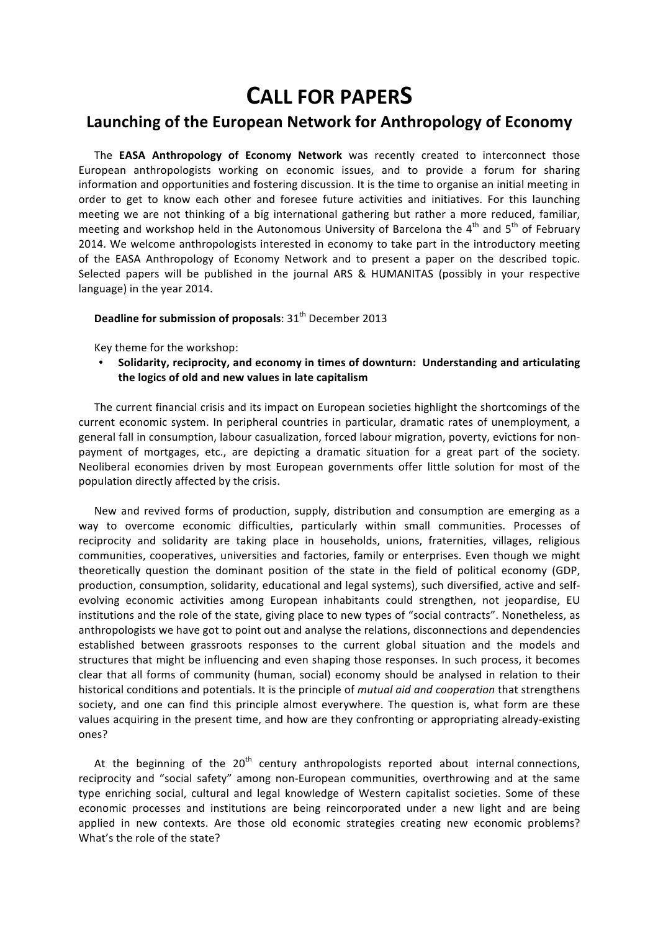## **CALL
FOR
PAPERS**

## **Launching
of
the
European
Network
for
Anthropology
of
Economy**

The **EASA Anthropology of Economy Network** was recently created to interconnect those European anthropologists working on economic issues, and to provide a forum for sharing information and opportunities and fostering discussion. It is the time to organise an initial meeting in order to get to know each other and foresee future activities and initiatives. For this launching meeting we are not thinking of a big international gathering but rather a more reduced, familiar, meeting and workshop held in the Autonomous University of Barcelona the  $4^{th}$  and  $5^{th}$  of February 2014. We welcome anthropologists interested in economy to take part in the introductory meeting of the EASA Anthropology of Economy Network and to present a paper on the described topic. Selected papers will be published in the journal ARS & HUMANITAS (possibly in your respective language)
in
the
year
2014.

## Deadline for submission of proposals: 31<sup>th</sup> December 2013

Key
theme
for
the
workshop:

• **Solidarity,
reciprocity,
and
economy
in
times
of
downturn: Understanding
and
articulating the
logics
of
old
and
new
values
in
late
capitalism**

The current financial crisis and its impact on European societies highlight the shortcomings of the current economic system. In peripheral countries in particular, dramatic rates of unemployment, a general fall in consumption, labour casualization, forced labour migration, poverty, evictions for nonpayment of mortgages, etc., are depicting a dramatic situation for a great part of the society. Neoliberal economies driven by most European governments offer little solution for most of the population
directly
affected
by
the
crisis.

New and revived forms of production, supply, distribution and consumption are emerging as a way to overcome economic difficulties, particularly within small communities. Processes of reciprocity and solidarity are taking place in households, unions, fraternities, villages, religious communities, cooperatives, universities and factories, family or enterprises. Even though we might theoretically question the dominant position of the state in the field of political economy (GDP, production, consumption, solidarity, educational and legal systems), such diversified, active and selfevolving economic activities among European inhabitants could strengthen, not jeopardise, EU institutions and the role of the state, giving place to new types of "social contracts". Nonetheless, as anthropologists we have got to point out and analyse the relations, disconnections and dependencies established between grassroots responses to the current global situation and the models and structures that might be influencing and even shaping those responses. In such process, it becomes clear that all forms of community (human, social) economy should be analysed in relation to their historical
conditions
and
potentials.
It
is
the
principle
of *mutual
aid
and
cooperation* that
strengthens society, and one can find this principle almost everywhere. The question is, what form are these values acquiring in the present time, and how are they confronting or appropriating already-existing ones?

At the beginning of the  $20<sup>th</sup>$  century anthropologists reported about internal connections, reciprocity and "social safety" among non-European communities, overthrowing and at the same type enriching social, cultural and legal knowledge of Western capitalist societies. Some of these economic processes and institutions are being reincorporated under a new light and are being applied in new contexts. Are those old economic strategies creating new economic problems? What's the role of the state?